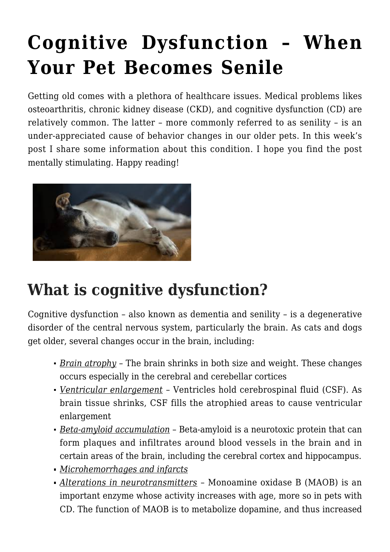# **[Cognitive Dysfunction – When](https://criticalcaredvm.com/cognitive-dysfunction-pet-senile/) [Your Pet Becomes Senile](https://criticalcaredvm.com/cognitive-dysfunction-pet-senile/)**

Getting old comes with a plethora of healthcare issues. Medical problems likes osteoarthritis, [chronic kidney disease \(CKD\)](https://criticalcaredvm.com/chronic-kidney-disease-in-dogs-cats/), and cognitive dysfunction (CD) are relatively common. The latter – more commonly referred to as senility – is an under-appreciated cause of behavior changes in our older pets. In this week's post I share some information about this condition. I hope you find the post mentally stimulating. Happy reading!



## **What is cognitive dysfunction?**

Cognitive dysfunction – also known as dementia and senility – is a degenerative disorder of the central nervous system, particularly the brain. As cats and dogs get older, several changes occur in the brain, including:

- *Brain atrophy* The brain shrinks in both size and weight. These changes occurs especially in the cerebral and cerebellar cortices
- *Ventricular enlargement* Ventricles hold cerebrospinal fluid (CSF). As brain tissue shrinks, CSF fills the atrophied areas to cause ventricular enlargement
- *Beta-amyloid accumulation* Beta-amyloid is a neurotoxic protein that can form plaques and infiltrates around blood vessels in the brain and in certain areas of the brain, including the cerebral cortex and hippocampus.
- *Microhemorrhages and infarcts*
- *Alterations in neurotransmitters* Monoamine oxidase B (MAOB) is an important enzyme whose activity increases with age, more so in pets with CD. The function of MAOB is to metabolize dopamine, and thus increased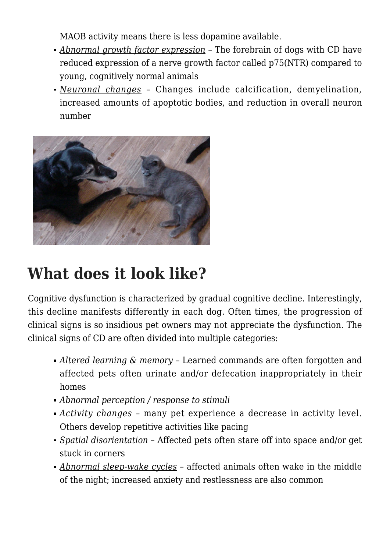MAOB activity means there is less dopamine available.

- *Abnormal growth factor expression* The forebrain of dogs with CD have reduced expression of a nerve growth factor called p75(NTR) compared to young, cognitively normal animals
- *Neuronal changes* Changes include calcification, demyelination, increased amounts of apoptotic bodies, and reduction in overall neuron number



### **What does it look like?**

Cognitive dysfunction is characterized by gradual cognitive decline. Interestingly, this decline manifests differently in each dog. Often times, the progression of clinical signs is so insidious pet owners may not appreciate the dysfunction. The clinical signs of CD are often divided into multiple categories:

- *Altered learning & memory* Learned commands are often forgotten and affected pets often urinate and/or defecation inappropriately in their homes
- *Abnormal perception / response to stimuli*
- *Activity changes* many pet experience a decrease in activity level. Others develop repetitive activities like pacing
- *Spatial disorientation* Affected pets often stare off into space and/or get stuck in corners
- *Abnormal sleep-wake cycles* affected animals often wake in the middle of the night; increased anxiety and restlessness are also common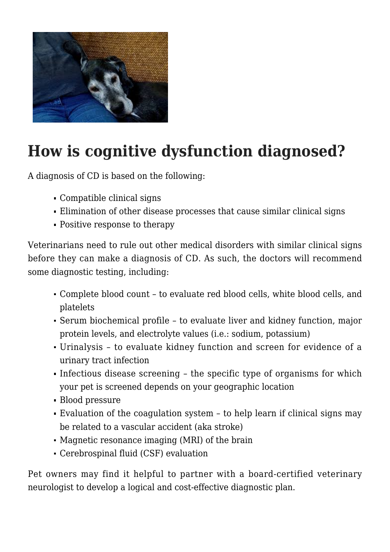

## **How is cognitive dysfunction diagnosed?**

A diagnosis of CD is based on the following:

- Compatible clinical signs
- Elimination of other disease processes that cause similar clinical signs
- Positive response to therapy

Veterinarians need to rule out other medical disorders with similar clinical signs before they can make a diagnosis of CD. As such, the doctors will recommend some diagnostic testing, including:

- Complete blood count to evaluate red blood cells, white blood cells, and platelets
- Serum biochemical profile to evaluate liver and kidney function, major protein levels, and electrolyte values (i.e.: sodium, potassium)
- Urinalysis to evaluate kidney function and screen for evidence of a urinary tract infection
- Infectious disease screening the specific type of organisms for which your pet is screened depends on your geographic location
- Blood pressure
- Evaluation of the coagulation system to help learn if clinical signs may be related to a vascular accident (aka stroke)
- Magnetic resonance imaging (MRI) of the brain
- Cerebrospinal fluid (CSF) evaluation

Pet owners may find it helpful to partner with a board-certified veterinary neurologist to develop a logical and cost-effective diagnostic plan.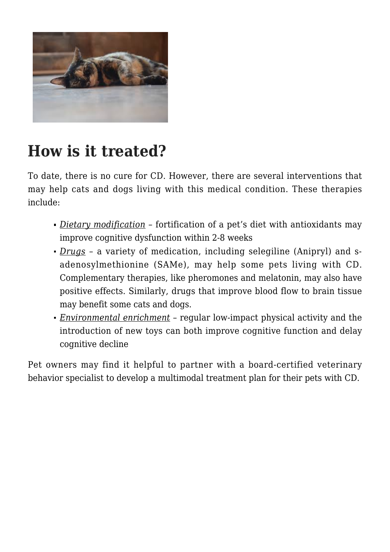

#### **How is it treated?**

To date, there is no cure for CD. However, there are several interventions that may help cats and dogs living with this medical condition. These therapies include:

- *Dietary modification* fortification of a pet's diet with antioxidants may improve cognitive dysfunction within 2-8 weeks
- *Drugs* a variety of medication, including selegiline (Anipryl) and sadenosylmethionine (SAMe), may help some pets living with CD. Complementary therapies, like pheromones and melatonin, may also have positive effects. Similarly, drugs that improve blood flow to brain tissue may benefit some cats and dogs.
- *Environmental enrichment* regular low-impact physical activity and the introduction of new toys can both improve cognitive function and delay cognitive decline

Pet owners may find it helpful to partner with a board-certified veterinary behavior specialist to develop a multimodal treatment plan for their pets with CD.